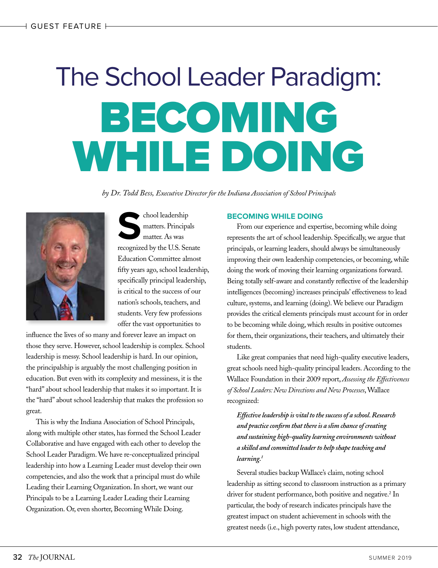# The School Leader Paradigm: BECOMING WHILE DOING

*by Dr. Todd Bess, Executive Director for the Indiana Association of School Principals*



chool leadership<br>
matters. Principa<br>
matter. As was<br>
recognized by the U.S. Set matters. Principals matter. As was recognized by the U.S. Senate Education Committee almost fifty years ago, school leadership, specifically principal leadership, is critical to the success of our nation's schools, teachers, and students. Very few professions offer the vast opportunities to

influence the lives of so many and forever leave an impact on those they serve. However, school leadership is complex. School leadership is messy. School leadership is hard. In our opinion, the principalship is arguably the most challenging position in education. But even with its complexity and messiness, it is the "hard" about school leadership that makes it so important. It is the "hard" about school leadership that makes the profession so great.

This is why the Indiana Association of School Principals, along with multiple other states, has formed the School Leader Collaborative and have engaged with each other to develop the School Leader Paradigm. We have re-conceptualized principal leadership into how a Learning Leader must develop their own competencies, and also the work that a principal must do while Leading their Learning Organization. In short, we want our Principals to be a Learning Leader Leading their Learning Organization. Or, even shorter, Becoming While Doing.

# **BECOMING WHILE DOING**

From our experience and expertise, becoming while doing represents the art of school leadership. Specifically, we argue that principals, or learning leaders, should always be simultaneously improving their own leadership competencies, or becoming, while doing the work of moving their learning organizations forward. Being totally self-aware and constantly reflective of the leadership intelligences (becoming) increases principals' effectiveness to lead culture, systems, and learning (doing). We believe our Paradigm provides the critical elements principals must account for in order to be becoming while doing, which results in positive outcomes for them, their organizations, their teachers, and ultimately their students.

Like great companies that need high-quality executive leaders, great schools need high-quality principal leaders. According to the Wallace Foundation in their 2009 report, *Assessing the Effectiveness of School Leaders: New Directions and New Processes*, Wallace recognized:

*Effective leadership is vital to the success of a school. Research and practice confirm that there is a slim chance of creating and sustaining high-quality learning environments without a skilled and committed leader to help shape teaching and learning.1*

Several studies backup Wallace's claim, noting school leadership as sitting second to classroom instruction as a primary driver for student performance, both positive and negative.<sup>2</sup> In particular, the body of research indicates principals have the greatest impact on student achievement in schools with the greatest needs (i.e., high poverty rates, low student attendance,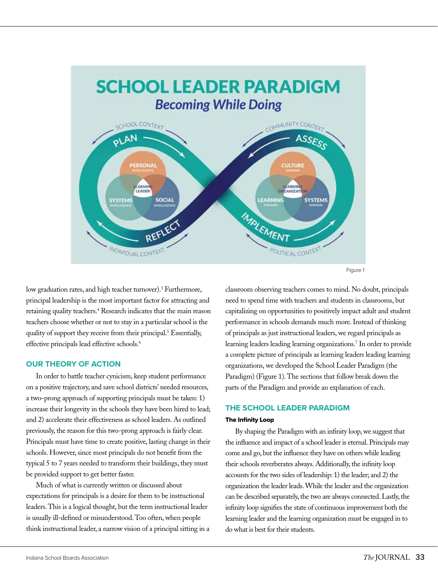

Figure 1

low graduation rates, and high teacher turnover).3 Furthermore, principal leadership is the most important factor for attracting and retaining quality teachers.<sup>4</sup> Research indicates that the main reason teachers choose whether or not to stay in a particular school is the quality of support they receive from their principal.<sup>5</sup> Essentially, effective principals lead effective schools.<sup>6</sup>

## **OUR THEORY OF ACTION**

In order to battle teacher cynicism, keep student performance on a positive trajectory, and save school districts' needed resources, a two-prong approach of supporting principals must be taken: 1) increase their longevity in the schools they have been hired to lead; and 2) accelerate their effectiveness as school leaders. As outlined previously, the reason for this two-prong approach is fairly clear. Principals must have time to create positive, lasting change in their schools. However, since most principals do not benefit from the typical 5 to 7 years needed to transform their buildings, they must be provided support to get better faster.

Much of what is currently written or discussed about expectations for principals is a desire for them to be instructional leaders. This is a logical thought, but the term instructional leader is usually ill-defined or misunderstood. Too often, when people think instructional leader, a narrow vision of a principal sitting in a

classroom observing teachers comes to mind. No doubt, principals need to spend time with teachers and students in classrooms, but capitalizing on opportunities to positively impact adult and student performance in schools demands much more. Instead of thinking of principals as just instructional leaders, we regard principals as learning leaders leading learning organizations.7 In order to provide a complete picture of principals as learning leaders leading learning organizations, we developed the School Leader Paradigm (the Paradigm) (Figure 1). The sections that follow break down the parts of the Paradigm and provide an explanation of each.

# **THE SCHOOL LEADER PARADIGM**

## The Infinity Loop

By shaping the Paradigm with an infinity loop, we suggest that the influence and impact of a school leader is eternal. Principals may come and go, but the influence they have on others while leading their schools reverberates always. Additionally, the infinity loop accounts for the two sides of leadership: 1) the leader; and 2) the organization the leader leads. While the leader and the organization can be described separately, the two are always connected. Lastly, the infinity loop signifies the state of continuous improvement both the learning leader and the learning organization must be engaged in to do what is best for their students.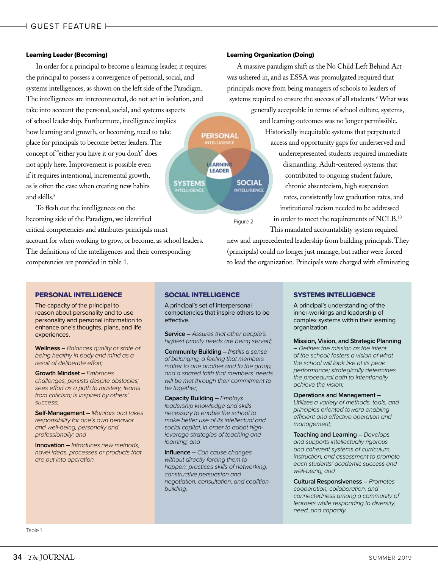#### Learning Leader (Becoming)

In order for a principal to become a learning leader, it requires the principal to possess a convergence of personal, social, and systems intelligences, as shown on the left side of the Paradigm. The intelligences are interconnected, do not act in isolation, and take into account the personal, social, and systems aspects of school leadership. Furthermore, intelligence implies how learning and growth, or becoming, need to take place for principals to become better leaders. The concept of "either you have it or you don't" does not apply here. Improvement is possible even if it requires intentional, incremental growth, **SYSTEMS** as is often the case when creating new habits **TTELLIGENCE** and skills.8

To flesh out the intelligences on the becoming side of the Paradigm, we identified critical competencies and attributes principals must account for when working to grow, or become, as school leaders. The definitions of the intelligences and their corresponding competencies are provided in table 1.

#### Learning Organization (Doing)

A massive paradigm shift as the No Child Left Behind Act was ushered in, and as ESSA was promulgated required that principals move from being managers of schools to leaders of systems required to ensure the success of all students.<sup>9</sup> What was

> generally acceptable in terms of school culture, systems, and learning outcomes was no longer permissible. Historically inequitable systems that perpetuated access and opportunity gaps for underserved and underrepresented students required immediate dismantling. Adult-centered systems that contributed to ongoing student failure, chronic absenteeism, high suspension rates, consistently low graduation rates, and institutional racism needed to be addressed in order to meet the requirements of NCLB.<sup>10</sup>

This mandated accountability system required new and unprecedented leadership from building principals. They (principals) could no longer just manage, but rather were forced to lead the organization. Principals were charged with eliminating

## PERSONAL INTELLIGENCE

The capacity of the principal to reason about personality and to use personality and personal information to enhance one's thoughts, plans, and life experiences.

**Wellness –** *Balances quality or state of being healthy in body and mind as a result of deliberate effort;*

**Growth Mindset –** *Embraces challenges; persists despite obstacles; sees effort as a path to mastery; learns from criticism; is inspired by others' success;*

**Self-Management –** *Monitors and takes responsibility for one's own behavior and well-being, personally and professionally; and*

**Innovation –** *Introduces new methods, novel ideas, processes or products that are put into operation.*

## SOCIAL INTELLIGENCE

A principal's set of interpersonal competencies that inspire others to be effective.

**PERSONAL** 

LEARNING **LEADER** 

Figure 2

**SOCIAL** 

**INTELLIGENCE** 

**Service –** *Assures that other people's highest priority needs are being served;*

**Community Building –** *Instills a sense of belonging, a feeling that members matter to one another and to the group, and a shared faith that members' needs will be met through their commitment to be together;*

**Capacity Building –** *Employs leadership knowledge and skills necessary to enable the school to make better use of its intellectual and social capital, in order to adopt highleverage strategies of teaching and learning; and*

**Influence –** *Can cause changes without directly forcing them to happen; practices skills of networking, constructive persuasion and negotiation, consultation, and coalitionbuilding.*

## SYSTEMS INTELLIGENCE

A principal's understanding of the inner-workings and leadership of complex systems within their learning organization.

#### **Mission, Vision, and Strategic Planning**

**–** *Defines the mission as the intent of the school; fosters a vision of what the school will look like at its peak performance; strategically determines the procedural path to intentionally achieve the vision;*

#### **Operations and Management –**

*Utilizes a variety of methods, tools, and principles oriented toward enabling efficient and effective operation and management;*

**Teaching and Learning –** *Develops and supports intellectually rigorous and coherent systems of curriculum, instruction, and assessment to promote each students' academic success and well-being; and*

**Cultural Responsiveness –** *Promotes cooperation, collaboration, and connectedness among a community of learners while responding to diversity, need, and capacity.*

Table 1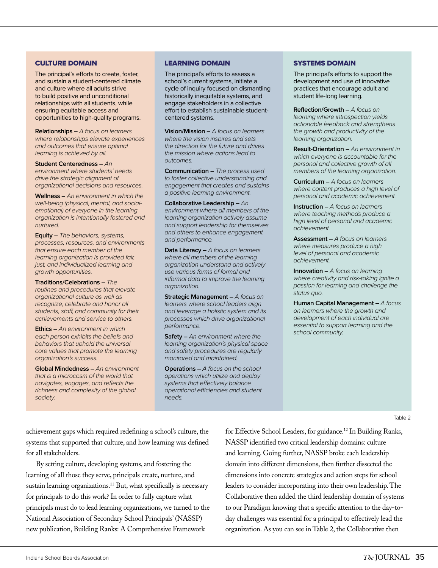## CULTURE DOMAIN

The principal's efforts to create, foster, and sustain a student-centered climate and culture where all adults strive to build positive and unconditional relationships with all students, while ensuring equitable access and opportunities to high-quality programs.

**Relationships –** *A focus on learners where relationships elevate experiences and outcomes that ensure optimal learning is achieved by all.*

**Student Centeredness –** *An environment where students' needs drive the strategic alignment of organizational decisions and resources.*

**Wellness –** *An environment in which the well-being (physical, mental, and socialemotional) of everyone in the learning organization is intentionally fostered and nurtured.*

**Equity –** *The behaviors, systems, processes, resources, and environments that ensure each member of the learning organization is provided fair, just, and individualized learning and growth opportunities.*

**Traditions/Celebrations –** *The routines and procedures that elevate organizational culture as well as recognize, celebrate and honor all students, staff, and community for their achievements and service to others.*

**Ethics –** *An environment in which each person exhibits the beliefs and behaviors that uphold the universal core values that promote the learning organization's success.*

**Global Mindedness –** *An environment that is a microcosm of the world that navigates, engages, and reflects the richness and complexity of the global society.*

#### LEARNING DOMAIN

The principal's efforts to assess a school's current systems, initiate a cycle of inquiry focused on dismantling historically inequitable systems, and engage stakeholders in a collective effort to establish sustainable studentcentered systems.

**Vision/Mission –** *A focus on learners where the vision inspires and sets the direction for the future and drives the mission where actions lead to outcomes.*

**Communication –** *The process used to foster collective understanding and engagement that creates and sustains a positive learning environment.*

**Collaborative Leadership –** *An environment where all members of the learning organization actively assume and support leadership for themselves and others to enhance engagement and performance.*

**Data Literacy –** *A focus on learners where all members of the learning organization understand and actively use various forms of formal and informal data to improve the learning organization.*

**Strategic Management –** *A focus on learners where school leaders align and leverage a holistic system and its processes which drive organizational performance.*

**Safety –** *An environment where the learning organization's physical space and safety procedures are regularly monitored and maintained.*

**Operations –** *A focus on the school operations which utilize and deploy systems that effectively balance operational efficiencies and student needs.*

#### SYSTEMS DOMAIN

The principal's efforts to support the development and use of innovative practices that encourage adult and student life-long learning.

**Reflection/Growth –** *A focus on learning where introspection yields actionable feedback and strengthens the growth and productivity of the learning organization.*

**Result-Orientation –** *An environment in which everyone is accountable for the personal and collective growth of all members of the learning organization.*

**Curriculum –** *A focus on learners where content produces a high level of personal and academic achievement.*

**Instruction –** *A focus on learners where teaching methods produce a high level of personal and academic achievement.*

**Assessment –** *A focus on learners where measures produce a high level of personal and academic achievement.*

**Innovation –** *A focus on learning where creativity and risk-taking ignite a passion for learning and challenge the status quo.*

**Human Capital Management –** *A focus on learners where the growth and development of each individual are essential to support learning and the school community.*

Table 2

achievement gaps which required redefining a school's culture, the systems that supported that culture, and how learning was defined for all stakeholders.

By setting culture, developing systems, and fostering the learning of all those they serve, principals create, nurture, and sustain learning organizations.<sup>11</sup> But, what specifically is necessary for principals to do this work? In order to fully capture what principals must do to lead learning organizations, we turned to the National Association of Secondary School Principals' (NASSP) new publication, Building Ranks: A Comprehensive Framework

for Effective School Leaders, for guidance.12 In Building Ranks, NASSP identified two critical leadership domains: culture and learning. Going further, NASSP broke each leadership domain into different dimensions, then further dissected the dimensions into concrete strategies and action steps for school leaders to consider incorporating into their own leadership. The Collaborative then added the third leadership domain of systems to our Paradigm knowing that a specific attention to the day-today challenges was essential for a principal to effectively lead the organization. As you can see in Table 2, the Collaborative then